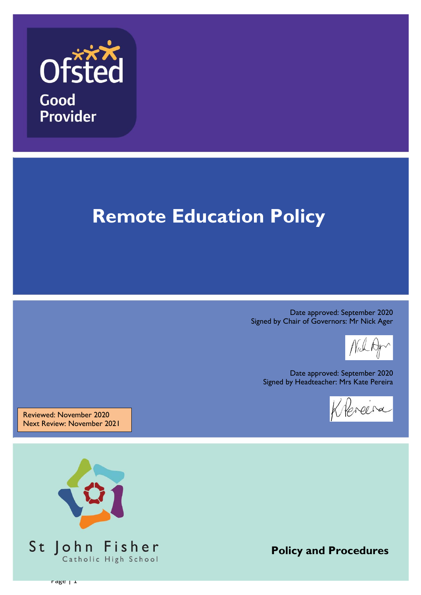

# **Remote Education Policy**

Date approved: September 2020 Signed by Chair of Governors: Mr Nick Ager

Date approved: September 2020 Signed by Headteacher: Mrs Kate Pereira

Hereira

Reviewed: November 2020 Next Review: November 2021



**Policy and Procedures**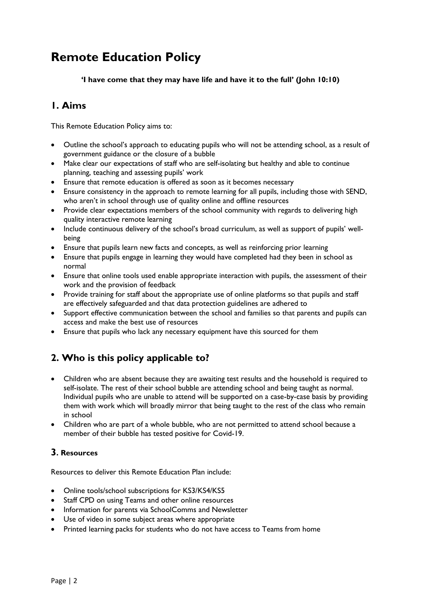# **Remote Education Policy**

**'I have come that they may have life and have it to the full' (John 10:10)**

# **1. Aims**

This Remote Education Policy aims to:

- Outline the school's approach to educating pupils who will not be attending school, as a result of government guidance or the closure of a bubble
- Make clear our expectations of staff who are self-isolating but healthy and able to continue planning, teaching and assessing pupils' work
- Ensure that remote education is offered as soon as it becomes necessary
- Ensure consistency in the approach to remote learning for all pupils, including those with SEND, who aren't in school through use of quality online and offline resources
- Provide clear expectations members of the school community with regards to delivering high quality interactive remote learning
- Include continuous delivery of the school's broad curriculum, as well as support of pupils' wellbeing
- Ensure that pupils learn new facts and concepts, as well as reinforcing prior learning
- Ensure that pupils engage in learning they would have completed had they been in school as normal
- Ensure that online tools used enable appropriate interaction with pupils, the assessment of their work and the provision of feedback
- Provide training for staff about the appropriate use of online platforms so that pupils and staff are effectively safeguarded and that data protection guidelines are adhered to
- Support effective communication between the school and families so that parents and pupils can access and make the best use of resources
- Ensure that pupils who lack any necessary equipment have this sourced for them

# **2. Who is this policy applicable to?**

- Children who are absent because they are awaiting test results and the household is required to self-isolate. The rest of their school bubble are attending school and being taught as normal. Individual pupils who are unable to attend will be supported on a case-by-case basis by providing them with work which will broadly mirror that being taught to the rest of the class who remain in school
- Children who are part of a whole bubble, who are not permitted to attend school because a member of their bubble has tested positive for Covid-19.

# **3. Resources**

Resources to deliver this Remote Education Plan include:

- Online tools/school subscriptions for KS3/KS4/KS5
- Staff CPD on using Teams and other online resources
- Information for parents via SchoolComms and Newsletter
- Use of video in some subject areas where appropriate
- Printed learning packs for students who do not have access to Teams from home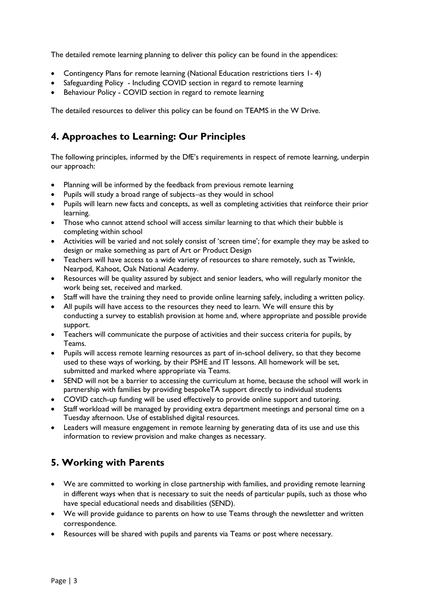The detailed remote learning planning to deliver this policy can be found in the appendices:

- Contingency Plans for remote learning (National Education restrictions tiers 1- 4)
- Safeguarding Policy Including COVID section in regard to remote learning
- Behaviour Policy COVID section in regard to remote learning

The detailed resources to deliver this policy can be found on TEAMS in the W Drive.

# **4. Approaches to Learning: Our Principles**

The following principles, informed by the DfE's requirements in respect of remote learning, underpin our approach:

- Planning will be informed by the feedback from previous remote learning
- Pupils will study a broad range of subjects-as they would in school
- Pupils will learn new facts and concepts, as well as completing activities that reinforce their prior learning.
- Those who cannot attend school will access similar learning to that which their bubble is completing within school
- Activities will be varied and not solely consist of 'screen time'; for example they may be asked to design or make something as part of Art or Product Design
- Teachers will have access to a wide variety of resources to share remotely, such as Twinkle, Nearpod, Kahoot, Oak National Academy.
- Resources will be quality assured by subject and senior leaders, who will regularly monitor the work being set, received and marked.
- Staff will have the training they need to provide online learning safely, including a written policy.
- All pupils will have access to the resources they need to learn. We will ensure this by conducting a survey to establish provision at home and, where appropriate and possible provide support.
- Teachers will communicate the purpose of activities and their success criteria for pupils, by Teams.
- Pupils will access remote learning resources as part of in-school delivery, so that they become used to these ways of working, by their PSHE and IT lessons. All homework will be set, submitted and marked where appropriate via Teams.
- SEND will not be a barrier to accessing the curriculum at home, because the school will work in partnership with families by providing bespokeTA support directly to individual students
- COVID catch-up funding will be used effectively to provide online support and tutoring.
- Staff workload will be managed by providing extra department meetings and personal time on a Tuesday afternoon. Use of established digital resources.
- Leaders will measure engagement in remote learning by generating data of its use and use this information to review provision and make changes as necessary.

# **5. Working with Parents**

- We are committed to working in close partnership with families, and providing remote learning in different ways when that is necessary to suit the needs of particular pupils, such as those who have special educational needs and disabilities (SEND).
- We will provide guidance to parents on how to use Teams through the newsletter and written correspondence.
- Resources will be shared with pupils and parents via Teams or post where necessary.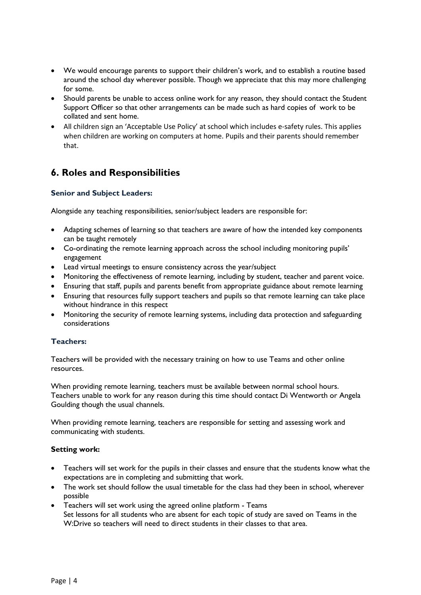- We would encourage parents to support their children's work, and to establish a routine based around the school day wherever possible. Though we appreciate that this may more challenging for some.
- Should parents be unable to access online work for any reason, they should contact the Student Support Officer so that other arrangements can be made such as hard copies of work to be collated and sent home.
- All children sign an 'Acceptable Use Policy' at school which includes e-safety rules. This applies when children are working on computers at home. Pupils and their parents should remember that.

# **6. Roles and Responsibilities**

# **Senior and Subject Leaders:**

Alongside any teaching responsibilities, senior/subject leaders are responsible for:

- Adapting schemes of learning so that teachers are aware of how the intended key components can be taught remotely
- Co-ordinating the remote learning approach across the school including monitoring pupils' engagement
- Lead virtual meetings to ensure consistency across the year/subject
- Monitoring the effectiveness of remote learning, including by student, teacher and parent voice.
- Ensuring that staff, pupils and parents benefit from appropriate guidance about remote learning
- Ensuring that resources fully support teachers and pupils so that remote learning can take place without hindrance in this respect
- Monitoring the security of remote learning systems, including data protection and safeguarding considerations

## **Teachers:**

Teachers will be provided with the necessary training on how to use Teams and other online resources.

When providing remote learning, teachers must be available between normal school hours. Teachers unable to work for any reason during this time should contact Di Wentworth or Angela Goulding though the usual channels.

When providing remote learning, teachers are responsible for setting and assessing work and communicating with students.

## **Setting work:**

- Teachers will set work for the pupils in their classes and ensure that the students know what the expectations are in completing and submitting that work.
- The work set should follow the usual timetable for the class had they been in school, wherever possible
- Teachers will set work using the agreed online platform Teams Set lessons for all students who are absent for each topic of study are saved on Teams in the W:Drive so teachers will need to direct students in their classes to that area.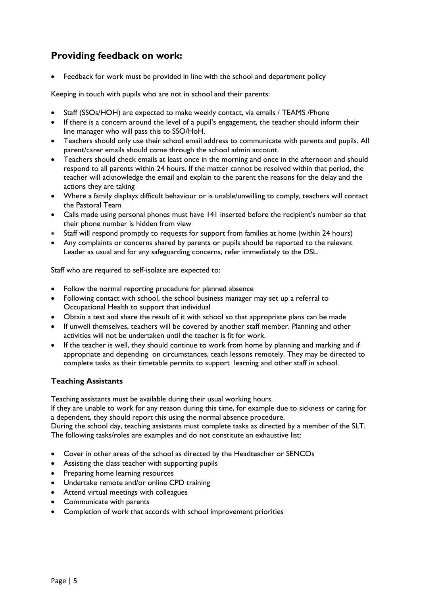# **Providing feedback on work:**

Feedback for work must be provided in line with the school and department policy

Keeping in touch with pupils who are not in school and their parents:

- Staff (SSOs/HOH) are expected to make weekly contact, via emails / TEAMS /Phone
- If there is a concern around the level of a pupil's engagement, the teacher should inform their line manager who will pass this to SSO/HoH.
- Teachers should only use their school email address to communicate with parents and pupils. All parent/carer emails should come through the school admin account.
- Teachers should check emails at least once in the morning and once in the afternoon and should respond to all parents within 24 hours. If the matter cannot be resolved within that period, the teacher will acknowledge the email and explain to the parent the reasons for the delay and the actions they are taking
- Where a family displays difficult behaviour or is unable/unwilling to comply, teachers will contact the Pastoral Team
- Calls made using personal phones must have 141 inserted before the recipient's number so that their phone number is hidden from view
- Staff will respond promptly to requests for support from families at home (within 24 hours)
- Any complaints or concerns shared by parents or pupils should be reported to the relevant Leader as usual and for any safeguarding concerns, refer immediately to the DSL.

Staff who are required to self-isolate are expected to:

- Follow the normal reporting procedure for planned absence
- Following contact with school, the school business manager may set up a referral to Occupational Health to support that individual
- Obtain a test and share the result of it with school so that appropriate plans can be made
- If unwell themselves, teachers will be covered by another staff member. Planning and other activities will not be undertaken until the teacher is fit for work.
- If the teacher is well, they should continue to work from home by planning and marking and if appropriate and depending on circumstances, teach lessons remotely. They may be directed to complete tasks as their timetable permits to support learning and other staff in school.

## **Teaching Assistants**

Teaching assistants must be available during their usual working hours.

If they are unable to work for any reason during this time, for example due to sickness or caring for a dependent, they should report this using the normal absence procedure.

During the school day, teaching assistants must complete tasks as directed by a member of the SLT. The following tasks/roles are examples and do not constitute an exhaustive list:

- Cover in other areas of the school as directed by the Headteacher or SENCOs
- Assisting the class teacher with supporting pupils
- Preparing home learning resources
- Undertake remote and/or online CPD training
- Attend virtual meetings with colleagues
- Communicate with parents
- Completion of work that accords with school improvement priorities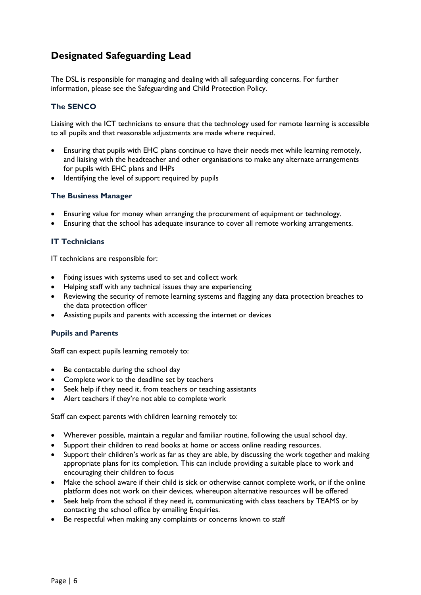# **Designated Safeguarding Lead**

The DSL is responsible for managing and dealing with all safeguarding concerns. For further information, please see the Safeguarding and Child Protection Policy.

# **The SENCO**

Liaising with the ICT technicians to ensure that the technology used for remote learning is accessible to all pupils and that reasonable adjustments are made where required.

- Ensuring that pupils with EHC plans continue to have their needs met while learning remotely, and liaising with the headteacher and other organisations to make any alternate arrangements for pupils with EHC plans and IHPs
- Identifying the level of support required by pupils

### **The Business Manager**

- Ensuring value for money when arranging the procurement of equipment or technology.
- Ensuring that the school has adequate insurance to cover all remote working arrangements.

### **IT Technicians**

IT technicians are responsible for:

- Fixing issues with systems used to set and collect work
- Helping staff with any technical issues they are experiencing
- Reviewing the security of remote learning systems and flagging any data protection breaches to the data protection officer
- Assisting pupils and parents with accessing the internet or devices

#### **Pupils and Parents**

Staff can expect pupils learning remotely to:

- Be contactable during the school day
- Complete work to the deadline set by teachers
- Seek help if they need it, from teachers or teaching assistants
- Alert teachers if they're not able to complete work

Staff can expect parents with children learning remotely to:

- Wherever possible, maintain a regular and familiar routine, following the usual school day.
- Support their children to read books at home or access online reading resources.
- Support their children's work as far as they are able, by discussing the work together and making appropriate plans for its completion. This can include providing a suitable place to work and encouraging their children to focus
- Make the school aware if their child is sick or otherwise cannot complete work, or if the online platform does not work on their devices, whereupon alternative resources will be offered
- Seek help from the school if they need it, communicating with class teachers by TEAMS or by contacting the school office by emailing Enquiries.
- Be respectful when making any complaints or concerns known to staff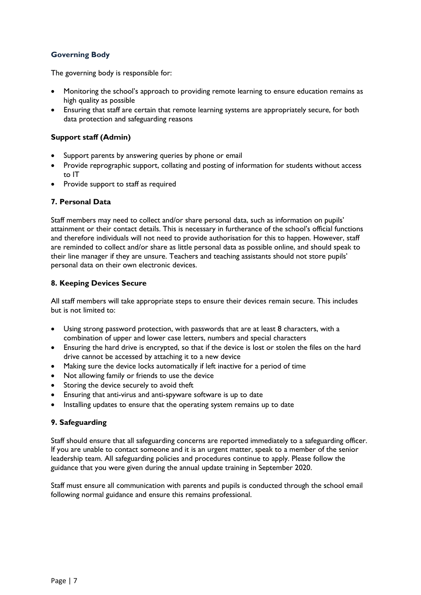# **Governing Body**

The governing body is responsible for:

- Monitoring the school's approach to providing remote learning to ensure education remains as high quality as possible
- Ensuring that staff are certain that remote learning systems are appropriately secure, for both data protection and safeguarding reasons

# **Support staff (Admin)**

- Support parents by answering queries by phone or email
- Provide reprographic support, collating and posting of information for students without access to IT
- Provide support to staff as required

## **7. Personal Data**

Staff members may need to collect and/or share personal data, such as information on pupils' attainment or their contact details. This is necessary in furtherance of the school's official functions and therefore individuals will not need to provide authorisation for this to happen. However, staff are reminded to collect and/or share as little personal data as possible online, and should speak to their line manager if they are unsure. Teachers and teaching assistants should not store pupils' personal data on their own electronic devices.

## **8. Keeping Devices Secure**

All staff members will take appropriate steps to ensure their devices remain secure. This includes but is not limited to:

- Using strong password protection, with passwords that are at least 8 characters, with a combination of upper and lower case letters, numbers and special characters
- Ensuring the hard drive is encrypted, so that if the device is lost or stolen the files on the hard drive cannot be accessed by attaching it to a new device
- Making sure the device locks automatically if left inactive for a period of time
- Not allowing family or friends to use the device
- Storing the device securely to avoid theft
- Ensuring that anti-virus and anti-spyware software is up to date
- Installing updates to ensure that the operating system remains up to date

## **9. Safeguarding**

Staff should ensure that all safeguarding concerns are reported immediately to a safeguarding officer. If you are unable to contact someone and it is an urgent matter, speak to a member of the senior leadership team. All safeguarding policies and procedures continue to apply. Please follow the guidance that you were given during the annual update training in September 2020.

Staff must ensure all communication with parents and pupils is conducted through the school email following normal guidance and ensure this remains professional.